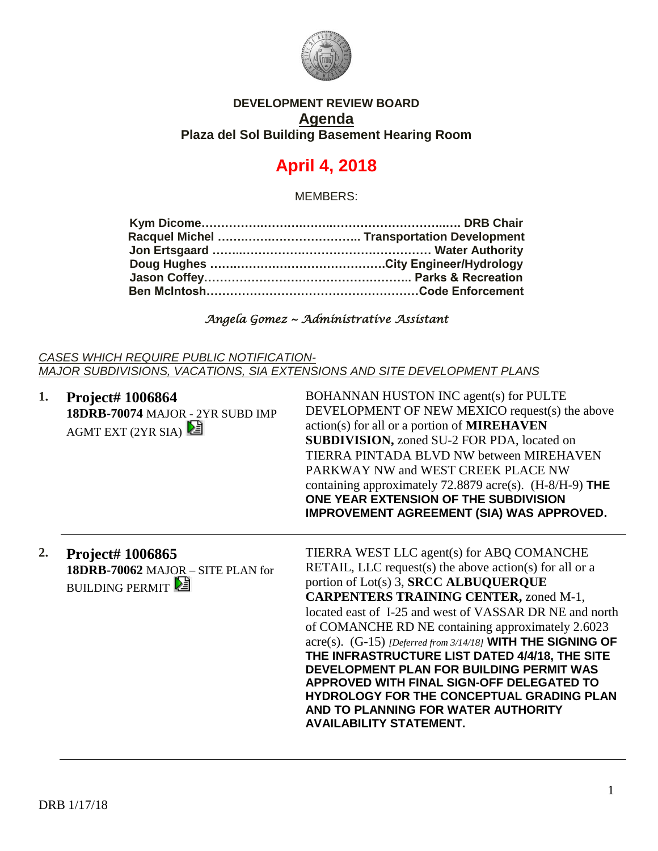

### **DEVELOPMENT REVIEW BOARD Agenda Plaza del Sol Building Basement Hearing Room**

# **April 4, 2018**

MEMBERS:

#### *Angela Gomez ~ Administrative Assistant*

*CASES WHICH REQUIRE PUBLIC NOTIFICATION-MAJOR SUBDIVISIONS, VACATIONS, SIA EXTENSIONS AND SITE DEVELOPMENT PLANS*

| 1. | Project# 1006864<br>18DRB-70074 MAJOR - 2YR SUBD IMP<br>AGMT EXT (2YR SIA)      | BOHANNAN HUSTON INC agent(s) for PULTE<br>DEVELOPMENT OF NEW MEXICO request(s) the above<br>action(s) for all or a portion of <b>MIREHAVEN</b><br><b>SUBDIVISION, zoned SU-2 FOR PDA, located on</b><br>TIERRA PINTADA BLVD NW between MIREHAVEN<br>PARKWAY NW and WEST CREEK PLACE NW<br>containing approximately 72.8879 acre(s). $(H-8/H-9)$ THE<br>ONE YEAR EXTENSION OF THE SUBDIVISION<br><b>IMPROVEMENT AGREEMENT (SIA) WAS APPROVED.</b>                                                                                                                                                                                               |
|----|---------------------------------------------------------------------------------|------------------------------------------------------------------------------------------------------------------------------------------------------------------------------------------------------------------------------------------------------------------------------------------------------------------------------------------------------------------------------------------------------------------------------------------------------------------------------------------------------------------------------------------------------------------------------------------------------------------------------------------------|
| 2. | Project# 1006865<br>18DRB-70062 MAJOR - SITE PLAN for<br><b>BUILDING PERMIT</b> | TIERRA WEST LLC agent(s) for ABQ COMANCHE<br>RETAIL, LLC request(s) the above action(s) for all or a<br>portion of Lot(s) 3, SRCC ALBUQUERQUE<br><b>CARPENTERS TRAINING CENTER, zoned M-1,</b><br>located east of I-25 and west of VASSAR DR NE and north<br>of COMANCHE RD NE containing approximately 2.6023<br>acre(s). (G-15) [Deferred from 3/14/18] WITH THE SIGNING OF<br>THE INFRASTRUCTURE LIST DATED 4/4/18, THE SITE<br>DEVELOPMENT PLAN FOR BUILDING PERMIT WAS<br>APPROVED WITH FINAL SIGN-OFF DELEGATED TO<br>HYDROLOGY FOR THE CONCEPTUAL GRADING PLAN<br>AND TO PLANNING FOR WATER AUTHORITY<br><b>AVAILABILITY STATEMENT.</b> |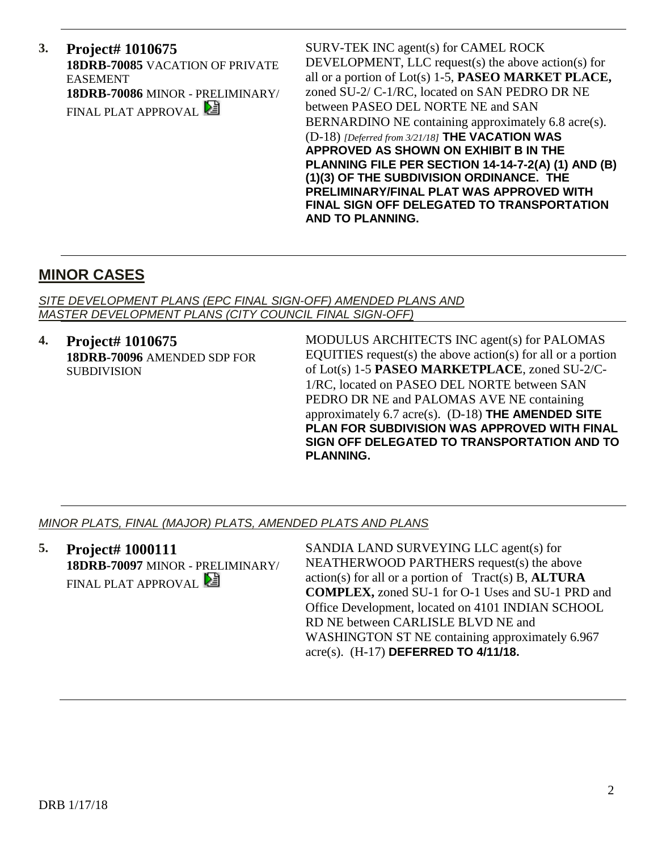**3. Project# 1010675 18DRB-70085** VACATION OF PRIVATE EASEMENT **18DRB-70086** MINOR - PRELIMINARY/ FINAL PLAT APPROVAL

SURV-TEK INC agent(s) for CAMEL ROCK DEVELOPMENT, LLC request(s) the above action(s) for all or a portion of Lot(s) 1-5, **PASEO MARKET PLACE,** zoned SU-2/ C-1/RC, located on SAN PEDRO DR NE between PASEO DEL NORTE NE and SAN BERNARDINO NE containing approximately 6.8 acre(s). (D-18) *[Deferred from 3/21/18]* **THE VACATION WAS APPROVED AS SHOWN ON EXHIBIT B IN THE PLANNING FILE PER SECTION 14-14-7-2(A) (1) AND (B) (1)(3) OF THE SUBDIVISION ORDINANCE. THE PRELIMINARY/FINAL PLAT WAS APPROVED WITH FINAL SIGN OFF DELEGATED TO TRANSPORTATION AND TO PLANNING.**

# **MINOR CASES**

*SITE DEVELOPMENT PLANS (EPC FINAL SIGN-OFF) AMENDED PLANS AND MASTER DEVELOPMENT PLANS (CITY COUNCIL FINAL SIGN-OFF)*

**4. Project# 1010675 18DRB-70096** AMENDED SDP FOR SUBDIVISION

MODULUS ARCHITECTS INC agent(s) for PALOMAS EQUITIES request(s) the above action(s) for all or a portion of Lot(s) 1-5 **PASEO MARKETPLACE**, zoned SU-2/C-1/RC, located on PASEO DEL NORTE between SAN PEDRO DR NE and PALOMAS AVE NE containing approximately 6.7 acre(s). (D-18) **THE AMENDED SITE PLAN FOR SUBDIVISION WAS APPROVED WITH FINAL SIGN OFF DELEGATED TO TRANSPORTATION AND TO PLANNING.**

#### *MINOR PLATS, FINAL (MAJOR) PLATS, AMENDED PLATS AND PLANS*

**5. Project# 1000111 18DRB-70097** MINOR - PRELIMINARY/ FINAL PLAT APPROVAL **E** 

SANDIA LAND SURVEYING LLC agent(s) for NEATHERWOOD PARTHERS request(s) the above action(s) for all or a portion of Tract(s) B, **ALTURA COMPLEX,** zoned SU-1 for O-1 Uses and SU-1 PRD and Office Development, located on 4101 INDIAN SCHOOL RD NE between CARLISLE BLVD NE and WASHINGTON ST NE containing approximately 6.967 acre(s). (H-17) **DEFERRED TO 4/11/18.**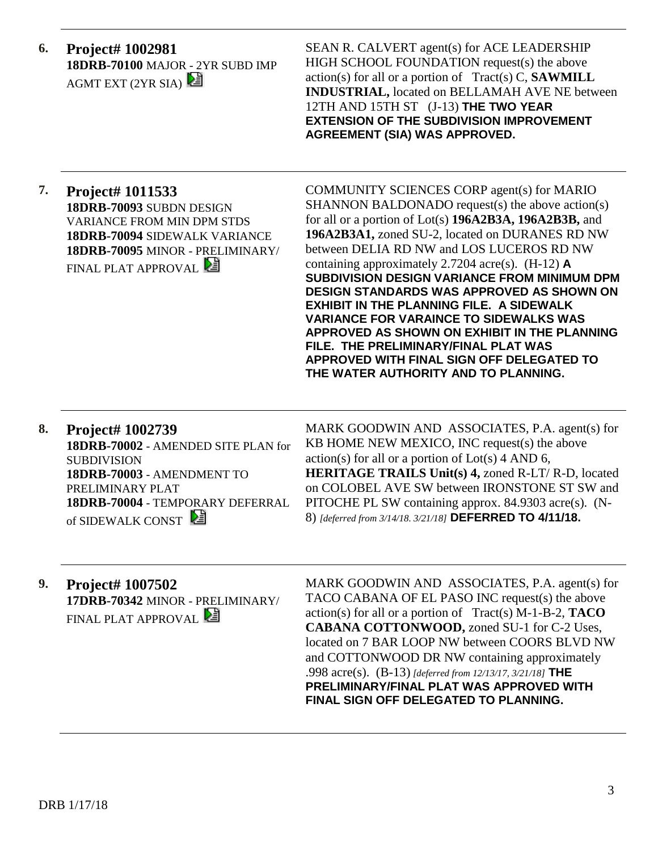**6. Project# 1002981 18DRB-70100** MAJOR - 2YR SUBD IMP AGMT EXT  $(2YR SIA)$ 

SEAN R. CALVERT agent(s) for ACE LEADERSHIP HIGH SCHOOL FOUNDATION request(s) the above action(s) for all or a portion of Tract(s) C, **SAWMILL INDUSTRIAL,** located on BELLAMAH AVE NE between 12TH AND 15TH ST (J-13) **THE TWO YEAR EXTENSION OF THE SUBDIVISION IMPROVEMENT AGREEMENT (SIA) WAS APPROVED.**

**7. Project# 1011533 18DRB-70093** SUBDN DESIGN VARIANCE FROM MIN DPM STDS **18DRB-70094** SIDEWALK VARIANCE **18DRB-70095** MINOR - PRELIMINARY/ FINAL PLAT APPROVAL

COMMUNITY SCIENCES CORP agent(s) for MARIO SHANNON BALDONADO request(s) the above action(s) for all or a portion of Lot(s) **196A2B3A, 196A2B3B,** and **196A2B3A1,** zoned SU-2, located on DURANES RD NW between DELIA RD NW and LOS LUCEROS RD NW containing approximately 2.7204 acre(s). (H-12) **A SUBDIVISION DESIGN VARIANCE FROM MINIMUM DPM DESIGN STANDARDS WAS APPROVED AS SHOWN ON EXHIBIT IN THE PLANNING FILE. A SIDEWALK VARIANCE FOR VARAINCE TO SIDEWALKS WAS APPROVED AS SHOWN ON EXHIBIT IN THE PLANNING FILE. THE PRELIMINARY/FINAL PLAT WAS APPROVED WITH FINAL SIGN OFF DELEGATED TO THE WATER AUTHORITY AND TO PLANNING.**

**8. Project# 1002739 18DRB-70002** - AMENDED SITE PLAN for SUBDIVISION **18DRB-70003** - AMENDMENT TO PRELIMINARY PLAT **18DRB-70004** - TEMPORARY DEFERRAL of SIDEWALK CONST

MARK GOODWIN AND ASSOCIATES, P.A. agent(s) for KB HOME NEW MEXICO, INC request(s) the above  $action(s)$  for all or a portion of  $Lot(s)$  4 AND 6, **HERITAGE TRAILS Unit(s) 4,** zoned R-LT/ R-D, located on COLOBEL AVE SW between IRONSTONE ST SW and PITOCHE PL SW containing approx. 84.9303 acre(s). (N-8) *[deferred from 3/14/18. 3/21/18]* **DEFERRED TO 4/11/18.**

**9. Project# 1007502 17DRB-70342** MINOR - PRELIMINARY/ FINAL PLAT APPROVAL **E** 

MARK GOODWIN AND ASSOCIATES, P.A. agent(s) for TACO CABANA OF EL PASO INC request(s) the above action(s) for all or a portion of Tract(s) M-1-B-2, **TACO CABANA COTTONWOOD,** zoned SU-1 for C-2 Uses, located on 7 BAR LOOP NW between COORS BLVD NW and COTTONWOOD DR NW containing approximately .998 acre(s). (B-13) *[deferred from 12/13/17, 3/21/18]* **THE PRELIMINARY/FINAL PLAT WAS APPROVED WITH FINAL SIGN OFF DELEGATED TO PLANNING.**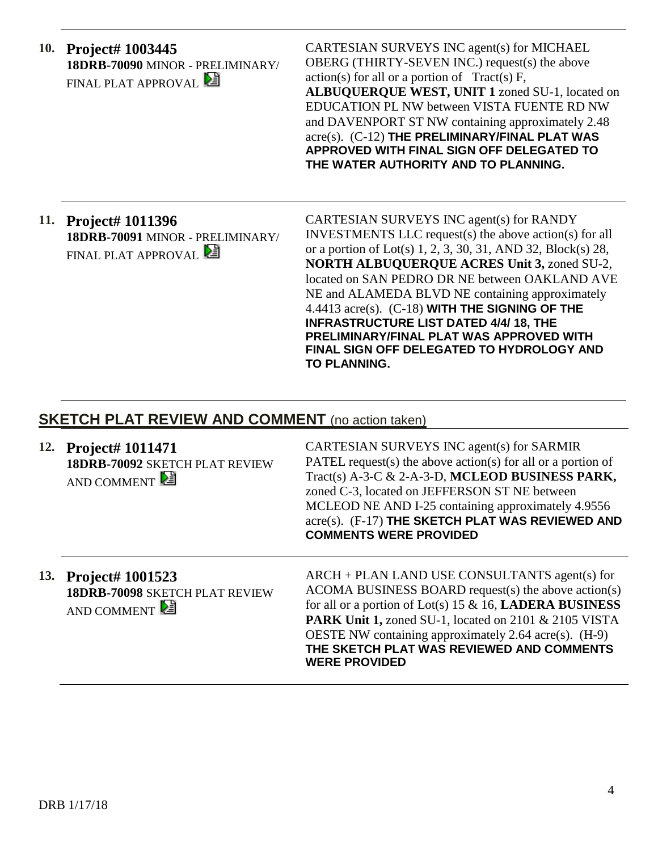| 10. Project# 1003445             |    |
|----------------------------------|----|
| 18DRB-70090 MINOR - PRELIMINARY/ | O  |
| FINAL PLAT APPROVAL              | aс |
|                                  |    |

ARTESIAN SURVEYS INC agent(s) for MICHAEL  $BERG$  (THIRTY-SEVEN INC.) request(s) the above  $\text{ction}(s)$  for all or a portion of Tract(s) F, **ALBUQUERQUE WEST, UNIT 1** zoned SU-1, located on EDUCATION PL NW between VISTA FUENTE RD NW and DAVENPORT ST NW containing approximately 2.48 acre(s). (C-12) **THE PRELIMINARY/FINAL PLAT WAS APPROVED WITH FINAL SIGN OFF DELEGATED TO THE WATER AUTHORITY AND TO PLANNING.**

# **11. Project# 1011396 18DRB-70091** MINOR - PRELIMINARY/ FINAL PLAT APPROVAL

CARTESIAN SURVEYS INC agent(s) for RANDY INVESTMENTS LLC request(s) the above action(s) for all or a portion of Lot(s) 1, 2, 3, 30, 31, AND 32, Block(s) 28, **NORTH ALBUQUERQUE ACRES Unit 3,** zoned SU-2, located on SAN PEDRO DR NE between OAKLAND AVE NE and ALAMEDA BLVD NE containing approximately 4.4413 acre(s). (C-18) **WITH THE SIGNING OF THE INFRASTRUCTURE LIST DATED 4/4/ 18, THE PRELIMINARY/FINAL PLAT WAS APPROVED WITH FINAL SIGN OFF DELEGATED TO HYDROLOGY AND TO PLANNING.**

# **SKETCH PLAT REVIEW AND COMMENT** (no action taken)

| 12. Project# 1011471<br>18DRB-70092 SKETCH PLAT REVIEW<br>AND COMMENT | CARTESIAN SURVEYS INC agent(s) for SARMIR<br>PATEL request(s) the above action(s) for all or a portion of<br>Tract(s) A-3-C & 2-A-3-D, MCLEOD BUSINESS PARK,<br>zoned C-3, located on JEFFERSON ST NE between<br>MCLEOD NE AND I-25 containing approximately 4.9556<br>acre(s). (F-17) THE SKETCH PLAT WAS REVIEWED AND<br><b>COMMENTS WERE PROVIDED</b>          |
|-----------------------------------------------------------------------|-------------------------------------------------------------------------------------------------------------------------------------------------------------------------------------------------------------------------------------------------------------------------------------------------------------------------------------------------------------------|
| 13. Project# 1001523<br>18DRB-70098 SKETCH PLAT REVIEW<br>AND COMMENT | ARCH + PLAN LAND USE CONSULTANTS agent(s) for<br>ACOMA BUSINESS BOARD request(s) the above action(s)<br>for all or a portion of Lot(s) 15 & 16, LADERA BUSINESS<br><b>PARK Unit 1, zoned SU-1, located on 2101 &amp; 2105 VISTA</b><br>OESTE NW containing approximately 2.64 acre(s). (H-9)<br>THE SKETCH PLAT WAS REVIEWED AND COMMENTS<br><b>WERE PROVIDED</b> |